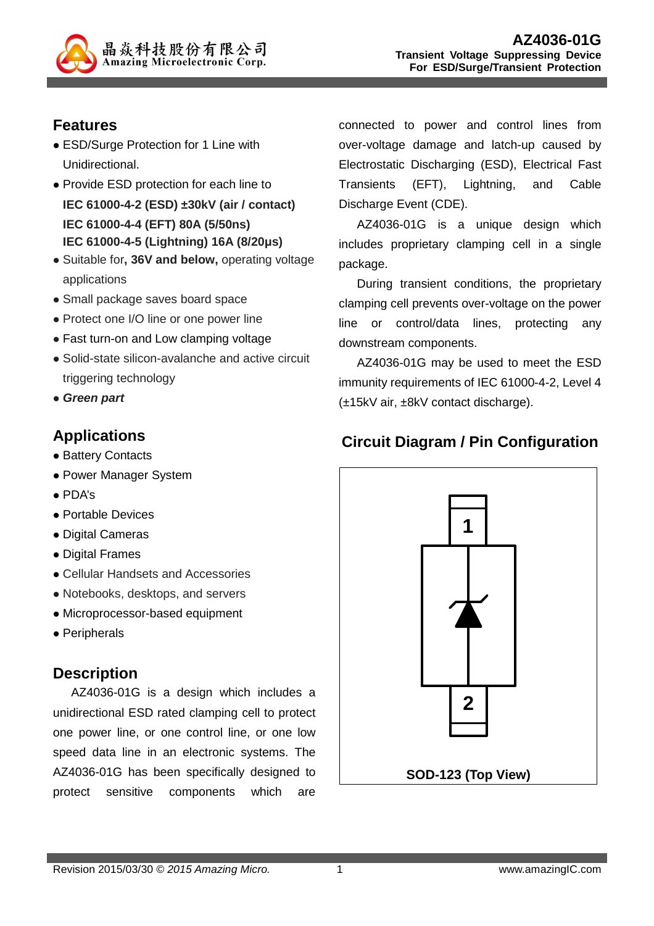

## **Features**

- ESD/Surge Protection for 1 Line with Unidirectional.
- Provide ESD protection for each line to **IEC 61000-4-2 (ESD) ±30kV (air / contact) IEC 61000-4-4 (EFT) 80A (5/50ns) IEC 61000-4-5 (Lightning) 16A (8/20µs)**
- Suitable for**, 36V and below,** operating voltage applications
- Small package saves board space
- Protect one I/O line or one power line
- Fast turn-on and Low clamping voltage
- Solid-state silicon-avalanche and active circuit triggering technology
- **Green part**

# **Applications**

- Battery Contacts
- Power Manager System
- PDA's
- Portable Devices
- Digital Cameras
- Digital Frames
- Cellular Handsets and Accessories
- Notebooks, desktops, and servers
- Microprocessor-based equipment
- Peripherals

## **Description**

AZ4036-01G is a design which includes a unidirectional ESD rated clamping cell to protect one power line, or one control line, or one low speed data line in an electronic systems. The AZ4036-01G has been specifically designed to protect sensitive components which are

connected to power and control lines from over-voltage damage and latch-up caused by Electrostatic Discharging (ESD), Electrical Fast Transients (EFT), Lightning, and Cable Discharge Event (CDE).

AZ4036-01G is a unique design which includes proprietary clamping cell in a single package.

During transient conditions, the proprietary clamping cell prevents over-voltage on the power line or control/data lines, protecting any downstream components.

AZ4036-01G may be used to meet the ESD immunity requirements of IEC 61000-4-2, Level 4 (±15kV air, ±8kV contact discharge).

# **Circuit Diagram / Pin Configuration**

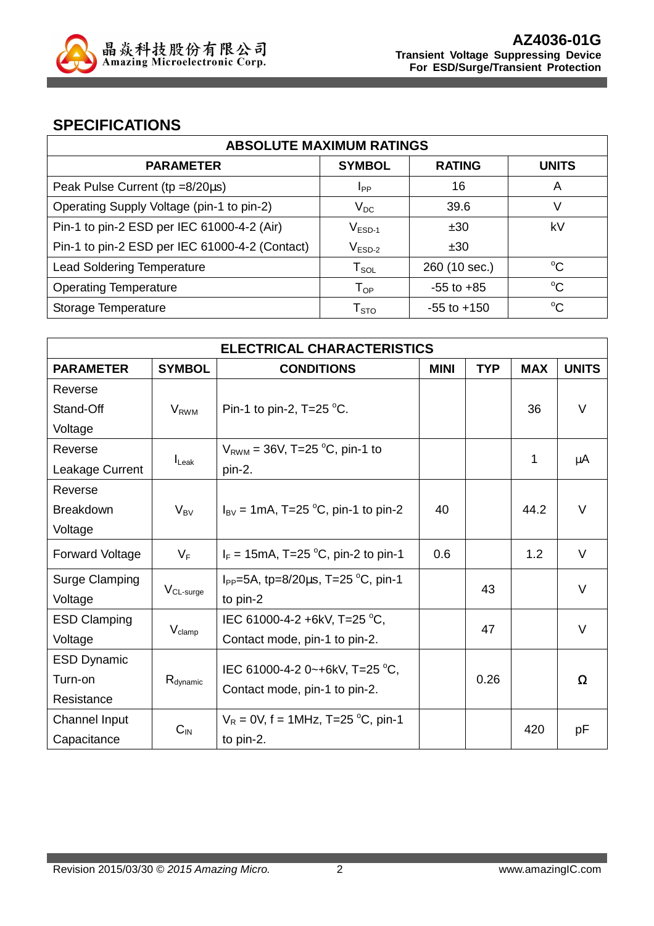

### **SPECIFICATIONS**

| <b>ABSOLUTE MAXIMUM RATINGS</b>                |                        |                 |              |  |
|------------------------------------------------|------------------------|-----------------|--------------|--|
| <b>PARAMETER</b>                               | <b>SYMBOL</b>          | <b>RATING</b>   | <b>UNITS</b> |  |
| Peak Pulse Current ( $tp = 8/20\mu s$ )        | <b>I</b> <sub>PP</sub> | 16              | A            |  |
| Operating Supply Voltage (pin-1 to pin-2)      | $V_{DC}$               | 39.6            | V            |  |
| Pin-1 to pin-2 ESD per IEC 61000-4-2 (Air)     | $V_{ESD-1}$            | ±30             | kV           |  |
| Pin-1 to pin-2 ESD per IEC 61000-4-2 (Contact) | $V_{ESD-2}$            | ±30             |              |  |
| <b>Lead Soldering Temperature</b>              | $T_{SOL}$              | 260 (10 sec.)   | $^{\circ}C$  |  |
| <b>Operating Temperature</b>                   | $T_{OP}$               | $-55$ to $+85$  | $^{\circ}C$  |  |
| Storage Temperature                            | ${\sf T}_{\text{STO}}$ | $-55$ to $+150$ | $^{\circ}C$  |  |

| <b>ELECTRICAL CHARACTERISTICS</b> |                       |                                                |             |            |            |              |
|-----------------------------------|-----------------------|------------------------------------------------|-------------|------------|------------|--------------|
| <b>PARAMETER</b>                  | <b>SYMBOL</b>         | <b>CONDITIONS</b>                              | <b>MINI</b> | <b>TYP</b> | <b>MAX</b> | <b>UNITS</b> |
| Reverse                           |                       |                                                |             |            |            |              |
| Stand-Off                         | $V_{RWM}$             | Pin-1 to pin-2, $T=25$ °C.                     |             |            | 36         | $\vee$       |
| Voltage                           |                       |                                                |             |            |            |              |
| Reverse                           |                       | $V_{RWM}$ = 36V, T=25 °C, pin-1 to             |             |            | 1          |              |
| Leakage Current                   | $I_{\text{Leak}}$     | pin-2.                                         |             |            |            | μA           |
| Reverse                           |                       |                                                |             |            |            |              |
| <b>Breakdown</b>                  | $V_{BV}$              | $I_{\text{BV}}$ = 1mA, T=25 °C, pin-1 to pin-2 | 40          |            | 44.2       | $\vee$       |
| Voltage                           |                       |                                                |             |            |            |              |
| Forward Voltage                   | $V_F$                 | $I_F = 15 \text{mA}$ , T=25 °C, pin-2 to pin-1 | 0.6         |            | 1.2        | V            |
| Surge Clamping                    |                       | $I_{PP}$ =5A, tp=8/20 $\mu$ s, T=25 °C, pin-1  |             | 43         |            | V            |
| Voltage                           | $V_{CL\text{-}surge}$ | to pin-2                                       |             |            |            |              |
| <b>ESD Clamping</b>               |                       | IEC 61000-4-2 +6kV, T=25 °C,                   |             | 47         | V          |              |
| Voltage                           | $V_{\text{clamp}}$    | Contact mode, pin-1 to pin-2.                  |             |            |            |              |
| <b>ESD Dynamic</b>                |                       |                                                |             |            |            |              |
| Turn-on                           | R <sub>dynamic</sub>  | IEC 61000-4-2 0~+6kV, T=25 °C,                 |             | 0.26       |            | Ω            |
| Resistance                        |                       | Contact mode, pin-1 to pin-2.                  |             |            |            |              |
| Channel Input                     |                       | $V_R = 0V$ , f = 1MHz, T=25 °C, pin-1          |             |            | 420        |              |
| Capacitance                       | $C_{IN}$              | to pin-2.                                      |             |            |            | рF           |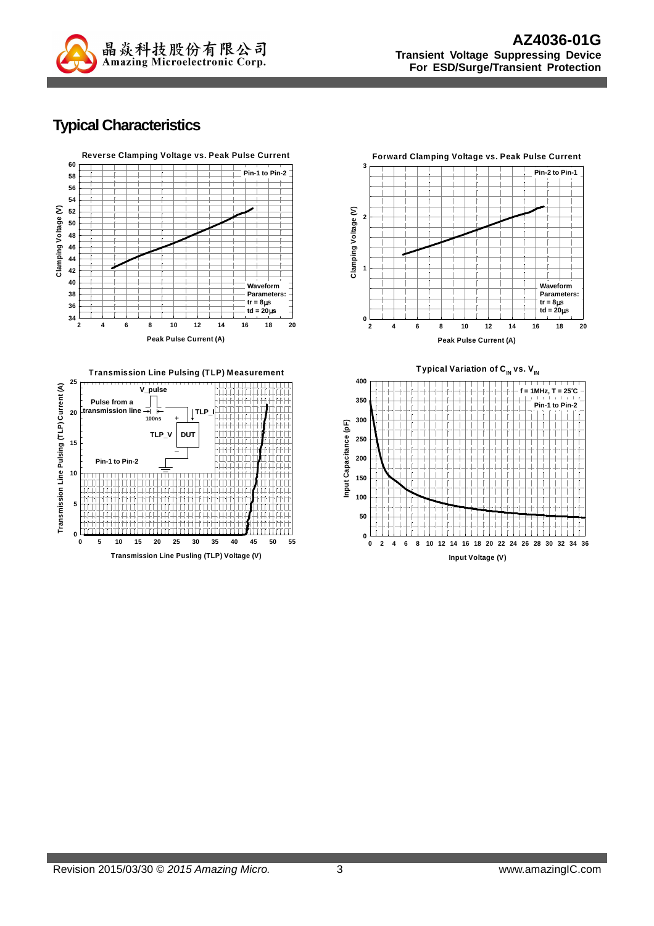

## **Typical Characteristics**



**Transmission Line Pusling (TLP) Voltage (V) 0 5 10 15 20 25 30 35 40 45 50 55**

**DUT**

ПТ

πп 井田田

**\_**

**TLP\_V**

**0**

**5**

**10**

**Pin-1 to Pin-2**

 $\frac{\Pi}{\Pi}$ TП  $\overline{\Box}$ 

**15**

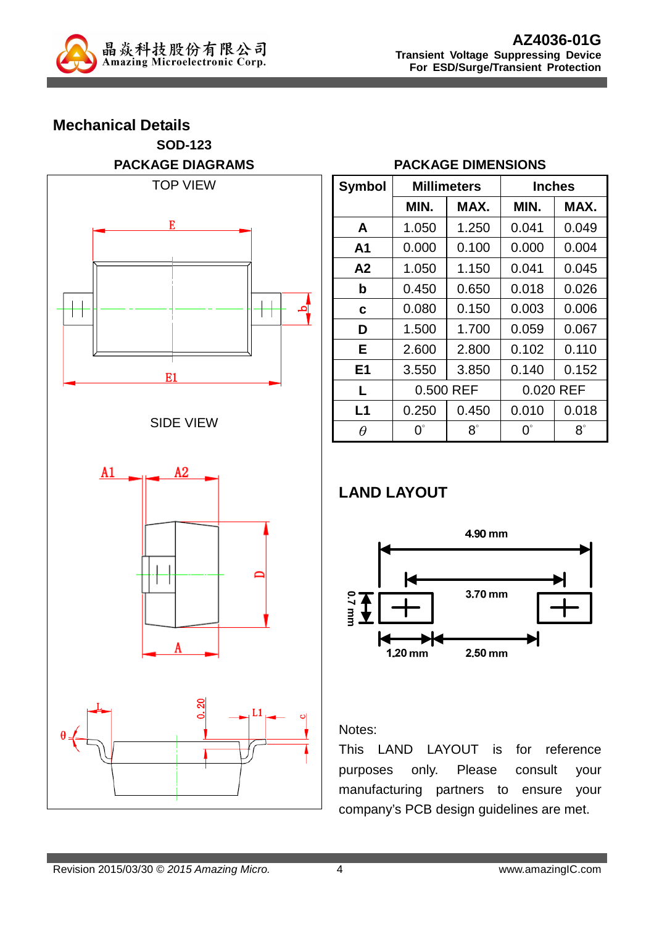

# **Mechanical Details SOD-123 PACKAGE DIAGRAMS**  TOP VIEW E







#### **PACKAGE DIMENSIONS**

| <b>Symbol</b>  |             | <b>Millimeters</b> |             | <b>Inches</b> |  |  |
|----------------|-------------|--------------------|-------------|---------------|--|--|
|                | MIN.        | MAX.               | MIN.        | MAX.          |  |  |
| A              | 1.050       | 1.250              | 0.041       | 0.049         |  |  |
| A1             | 0.000       | 0.100              | 0.000       | 0.004         |  |  |
| A2             | 1.050       | 1.150              | 0.041       | 0.045         |  |  |
| b              | 0.450       | 0.650              | 0.018       | 0.026         |  |  |
| C              | 0.080       | 0.150              | 0.003       | 0.006         |  |  |
| D              | 1.500       | 1.700              | 0.059       | 0.067         |  |  |
| Е              | 2.600       | 2.800              | 0.102       | 0.110         |  |  |
| E <sub>1</sub> | 3.550       | 3.850              | 0.140       | 0.152         |  |  |
| L              | 0.500 REF   |                    | 0.020 REF   |               |  |  |
| L1             | 0.250       | 0.450              | 0.010       | 0.018         |  |  |
| $\theta$       | $0^{\circ}$ | $8^\circ$          | $0^{\circ}$ | $8^\circ$     |  |  |

# **LAND LAYOUT**



#### Notes:

This LAND LAYOUT is for reference purposes only. Please consult your manufacturing partners to ensure your company's PCB design guidelines are met.